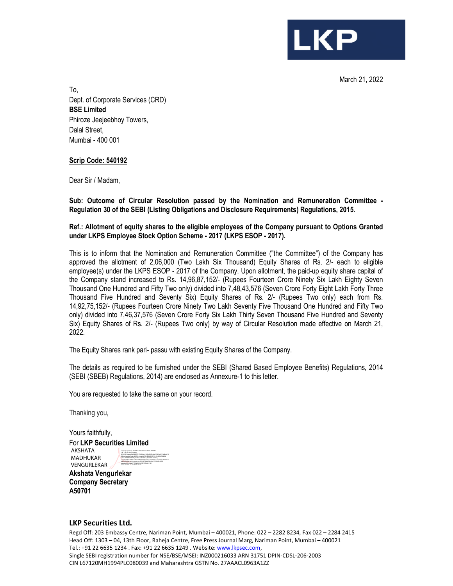March 21, 2022

**LKP** 

To, Dept. of Corporate Services (CRD) **BSE Limited**  Phiroze Jeejeebhoy Towers, Dalal Street, Mumbai - 400 001

## **Scrip Code: 540192**

Dear Sir / Madam,

**Sub: Outcome of Circular Resolution passed by the Nomination and Remuneration Committee - Regulation 30 of the SEBI (Listing Obligations and Disclosure Requirements) Regulations, 2015.** 

## **Ref.: Allotment of equity shares to the eligible employees of the Company pursuant to Options Granted under LKPS Employee Stock Option Scheme - 2017 (LKPS ESOP - 2017).**

This is to inform that the Nomination and Remuneration Committee ("the Committee") of the Company has approved the allotment of 2,06,000 (Two Lakh Six Thousand) Equity Shares of Rs. 2/- each to eligible employee(s) under the LKPS ESOP - 2017 of the Company. Upon allotment, the paid-up equity share capital of the Company stand increased to Rs. 14,96,87,152/- (Rupees Fourteen Crore Ninety Six Lakh Eighty Seven Thousand One Hundred and Fifty Two only) divided into 7,48,43,576 (Seven Crore Forty Eight Lakh Forty Three Thousand Five Hundred and Seventy Six) Equity Shares of Rs. 2/- (Rupees Two only) each from Rs. 14,92,75,152/- (Rupees Fourteen Crore Ninety Two Lakh Seventy Five Thousand One Hundred and Fifty Two only) divided into 7,46,37,576 (Seven Crore Forty Six Lakh Thirty Seven Thousand Five Hundred and Seventy Six) Equity Shares of Rs. 2/- (Rupees Two only) by way of Circular Resolution made effective on March 21, 2022.

The Equity Shares rank pari- passu with existing Equity Shares of the Company.

The details as required to be furnished under the SEBI (Shared Based Employee Benefits) Regulations, 2014 (SEBI (SBEB) Regulations, 2014) are enclosed as Annexure-1 to this letter.

You are requested to take the same on your record.

Thanking you,

Yours faithfully, For **LKP Securities Limited**  AKSHATA MADHUKAR VENGURLEKAR DN: c=IN, st=Maharashtra,

2.5.4.20=36abcc02a249257e17fa02edc15b9cdf80fb4be59347ac8471a82e5a13 62a4c8, postalCode=400104, street=A701, BUILDING NO. 14, MILLENNIUM CHS., SHASTRI NAGAR, GOREGAON WEST, MUMBAI - 400104, serialNumber=3386ccdfec234f7e355b8cec4161ebb9b71c2faa664e53bb930cb b8d6051a2a2, o=Personal, cn=AKSHATA MADHUKAR VENGURLEKAR, pseudonym=0baf971534a31e54f3fb15ff9c4a1129

**Akshata Vengurlekar Company Secretary A50701**

## **LKP Securities Ltd.**

Regd Off: 203 Embassy Centre, Nariman Point, Mumbai – 400021, Phone: 022 – 2282 8234, Fax 022 – 2284 2415 Head Off: 1303 – 04, 13th Floor, Raheja Centre, Free Press Journal Marg, Nariman Point, Mumbai – 400021 Tel.: +91 22 6635 1234 . Fax: +91 22 6635 1249 . Website: www.lkpsec.com, Single SEBI registration number for NSE/BSE/MSEI: INZ000216033 ARN 31751 DPIN-CDSL-206-2003 CIN L67120MH1994PLC080039 and Maharashtra GSTN No. 27AAACL0963A1ZZ